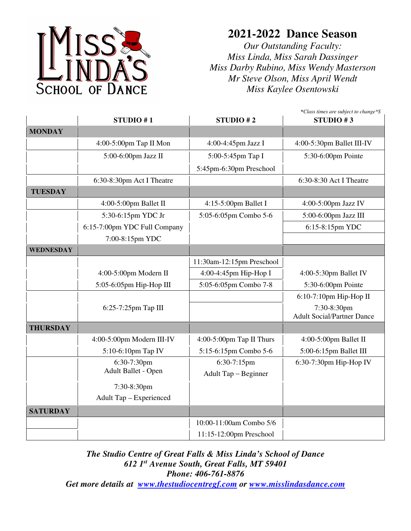

## **2021-2022 Dance Season**

*Our Outstanding Faculty: Miss Linda, Miss Sarah Dassinger Miss Darby Rubino, Miss Wendy Masterson Mr Steve Olson, Miss April Wendt Miss Kaylee Osentowski* 

|                  | *Class times are subject to change*S |                           |                                                  |  |  |
|------------------|--------------------------------------|---------------------------|--------------------------------------------------|--|--|
|                  | STUDIO #1                            | STUDIO #2                 | STUDIO #3                                        |  |  |
| <b>MONDAY</b>    |                                      |                           |                                                  |  |  |
|                  | 4:00-5:00pm Tap II Mon               | 4:00-4:45pm Jazz I        | 4:00-5:30pm Ballet III-IV                        |  |  |
|                  | 5:00-6:00pm Jazz II                  | 5:00-5:45pm Tap I         | 5:30-6:00pm Pointe                               |  |  |
|                  |                                      | 5:45pm-6:30pm Preschool   |                                                  |  |  |
|                  | 6:30-8:30pm Act I Theatre            |                           | 6:30-8:30 Act I Theatre                          |  |  |
| <b>TUESDAY</b>   |                                      |                           |                                                  |  |  |
|                  | 4:00-5:00pm Ballet II                | 4:15-5:00pm Ballet I      | 4:00-5:00pm Jazz IV                              |  |  |
|                  | 5:30-6:15pm YDC Jr                   | 5:05-6:05pm Combo 5-6     | 5:00-6:00pm Jazz III                             |  |  |
|                  | 6:15-7:00pm YDC Full Company         |                           | 6:15-8:15pm YDC                                  |  |  |
|                  | 7:00-8:15pm YDC                      |                           |                                                  |  |  |
| <b>WEDNESDAY</b> |                                      |                           |                                                  |  |  |
|                  |                                      | 11:30am-12:15pm Preschool |                                                  |  |  |
|                  | 4:00-5:00pm Modern II                | 4:00-4:45pm Hip-Hop I     | 4:00-5:30pm Ballet IV                            |  |  |
|                  | 5:05-6:05pm Hip-Hop III              | 5:05-6:05pm Combo 7-8     | 5:30-6:00pm Pointe                               |  |  |
|                  |                                      |                           | 6:10-7:10pm Hip-Hop II                           |  |  |
|                  | 6:25-7:25pm Tap III                  |                           | 7:30-8:30pm<br><b>Adult Social/Partner Dance</b> |  |  |
| <b>THURSDAY</b>  |                                      |                           |                                                  |  |  |
|                  | 4:00-5:00pm Modern III-IV            | 4:00-5:00pm Tap II Thurs  | 4:00-5:00pm Ballet II                            |  |  |
|                  | 5:10-6:10pm Tap IV                   | 5:15-6:15pm Combo 5-6     | 5:00-6:15pm Ballet III                           |  |  |
|                  | 6:30-7:30pm                          | 6:30-7:15pm               | 6:30-7:30pm Hip-Hop IV                           |  |  |
|                  | Adult Ballet - Open                  | Adult Tap - Beginner      |                                                  |  |  |
|                  | 7:30-8:30pm                          |                           |                                                  |  |  |
|                  | Adult Tap - Experienced              |                           |                                                  |  |  |
| <b>SATURDAY</b>  |                                      |                           |                                                  |  |  |
|                  |                                      | 10:00-11:00am Combo 5/6   |                                                  |  |  |
|                  |                                      | 11:15-12:00pm Preschool   |                                                  |  |  |

*The Studio Centre of Great Falls & Miss Linda's School of Dance 612 1st Avenue South, Great Falls, MT 59401 Phone: 406-761-8876* 

*Get more details at www.thestudiocentregf.com or www.misslindasdance.com*